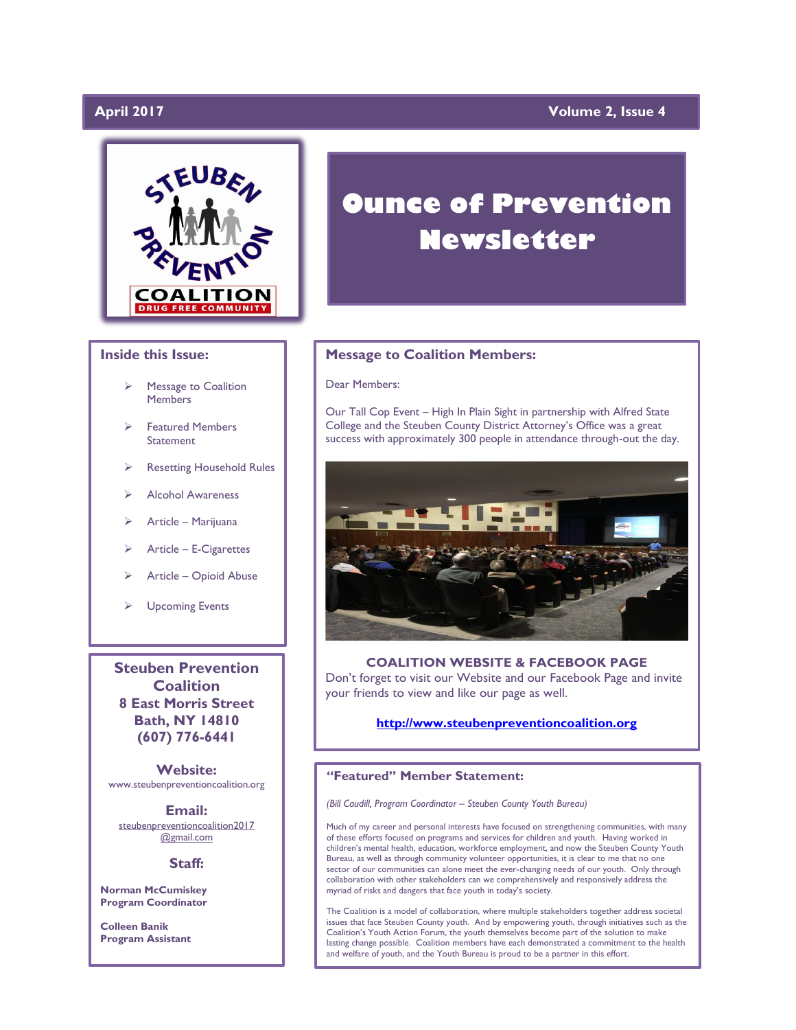# April 2017

# **Yolume 2, Issue 4**



### **Inside this Issue:**

- Message to Coalition **Members**
- Featured Members Statement
- Resetting Household Rules
- Alcohol Awareness
- Article Marijuana
- Article E-Cigarettes
- Article Opioid Abuse
- Upcoming Events

**Steuben Prevention Coalition 8 East Morris Street Bath, NY 14810 (607) 776-6441**

**Website:**  www.steubenpreventioncoalition.org

**Email:** 

steubenpreventioncoalition2017 @gmail.com

### **Staff:**

**Norman McCumiskey Program Coordinator**

**Colleen Banik Program Assistant**

# **Ounce of Prevention Newsletter**

### **Message to Coalition Members:**

Dear Members:

Our Tall Cop Event – High In Plain Sight in partnership with Alfred State College and the Steuben County District Attorney's Office was a great success with approximately 300 people in attendance through-out the day.



**COALITION WEBSITE & FACEBOOK PAGE** Don't forget to visit our Website and our Facebook Page and invite your friends to view and like our page as well.

### **[http://www.steubenpreventioncoalition.org](http://www.steubenpreventioncoalition.org/)**

## **"Featured" Member Statement:**

*(Bill Caudill, Program Coordinator – Steuben County Youth Bureau)*

Much of my career and personal interests have focused on strengthening communities, with many of these efforts focused on programs and services for children and youth. Having worked in children's mental health, education, workforce employment, and now the Steuben County Youth Bureau, as well as through community volunteer opportunities, it is clear to me that no one sector of our communities can alone meet the ever-changing needs of our youth. Only through collaboration with other stakeholders can we comprehensively and responsively address the myriad of risks and dangers that face youth in today's society.

The Coalition is a model of collaboration, where multiple stakeholders together address societal issues that face Steuben County youth. And by empowering youth, through initiatives such as the Coalition's Youth Action Forum, the youth themselves become part of the solution to make lasting change possible. Coalition members have each demonstrated a commitment to the health and welfare of youth, and the Youth Bureau is proud to be a partner in this effort.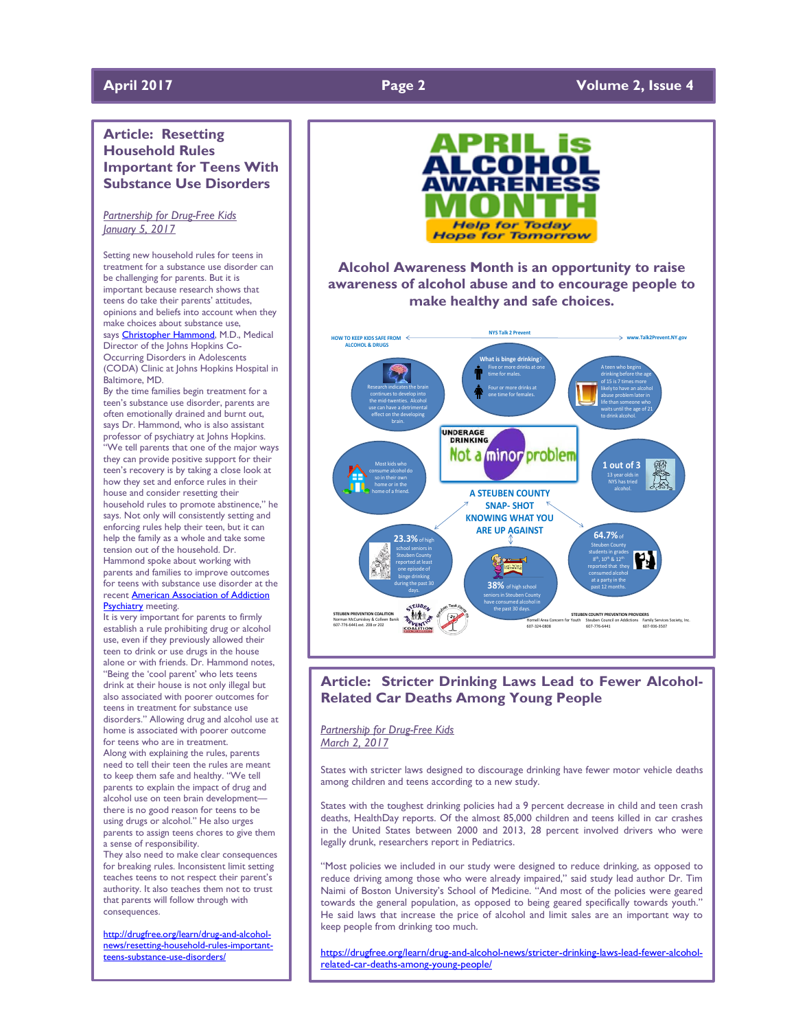# **April 2017 Page 2 Volume 2, Issue 4**

## **Article: Resetting Household Rules Important for Teens With Substance Use Disorders**

*Partnership for Drug-Free Kids January 5, 2017*

Setting new household rules for teens in treatment for a substance use disorder can be challenging for parents. But it is important because research shows that teens do take their parents' attitudes, opinions and beliefs into account when they make choices about substance use, says [Christopher Hammond,](http://www.hopkinsmedicine.org/profiles/results/directory/profile/10000795/christopher-hammond) M.D., Medical Director of the Johns Hopkins Co-Occurring Disorders in Adolescents (CODA) Clinic at Johns Hopkins Hospital in Baltimore, MD.

By the time families begin treatment for a teen's substance use disorder, parents are often emotionally drained and burnt out, says Dr. Hammond, who is also assistant professor of psychiatry at Johns Hopkins. "We tell parents that one of the major ways they can provide positive support for their teen's recovery is by taking a close look at how they set and enforce rules in their house and consider resetting their household rules to promote abstinence," he says. Not only will consistently setting and enforcing rules help their teen, but it can help the family as a whole and take some tension out of the household. Dr. Hammond spoke about working with parents and families to improve outcomes for teens with substance use disorder at the recent [American Association of Addiction](http://www.aaap.org/)  [Psychiatry](http://www.aaap.org/) meeting.

It is very important for parents to firmly establish a rule prohibiting drug or alcohol use, even if they previously allowed their teen to drink or use drugs in the house alone or with friends. Dr. Hammond notes, "Being the 'cool parent' who lets teens drink at their house is not only illegal but also associated with poorer outcomes for teens in treatment for substance use disorders." Allowing drug and alcohol use at home is associated with poorer outcome for teens who are in treatment. Along with explaining the rules, parents need to tell their teen the rules are meant to keep them safe and healthy. "We tell parents to explain the impact of drug and alcohol use on teen brain development there is no good reason for teens to be using drugs or alcohol." He also urges parents to assign teens chores to give them a sense of responsibility.

They also need to make clear consequences for breaking rules. Inconsistent limit setting teaches teens to not respect their parent's authority. It also teaches them not to trust that parents will follow through with consequences.

[http://drugfree.org/learn/drug-and-alcohol](http://drugfree.org/learn/drug-and-alcohol-news/resetting-household-rules-important-teens-substance-use-disorders/)[news/resetting-household-rules-important](http://drugfree.org/learn/drug-and-alcohol-news/resetting-household-rules-important-teens-substance-use-disorders/)[teens-substance-use-disorders/](http://drugfree.org/learn/drug-and-alcohol-news/resetting-household-rules-important-teens-substance-use-disorders/)



**Alcohol Awareness Month is an opportunity to raise awareness of alcohol abuse and to encourage people to make healthy and safe choices.**



## **Article: Stricter Drinking Laws Lead to Fewer Alcohol-Related Car Deaths Among Young People**

### *Partnership for Drug-Free Kids March 2, 2017*

States with stricter laws designed to discourage drinking have fewer motor vehicle deaths among children and teens according to a new study.

States with the toughest drinking policies had a 9 percent decrease in child and teen crash deaths, HealthDay reports. Of the almost 85,000 children and teens killed in car crashes in the United States between 2000 and 2013, 28 percent involved drivers who were legally drunk, researchers report in Pediatrics.

"Most policies we included in our study were designed to reduce drinking, as opposed to reduce driving among those who were already impaired," said study lead author Dr. Tim Naimi of Boston University's School of Medicine. "And most of the policies were geared towards the general population, as opposed to being geared specifically towards youth." He said laws that increase the price of alcohol and limit sales are an important way to keep people from drinking too much.

[https://drugfree.org/learn/drug-and-alcohol-news/stricter-drinking-laws-lead-fewer-alcohol](https://drugfree.org/learn/drug-and-alcohol-news/stricter-drinking-laws-lead-fewer-alcohol-related-car-deaths-among-young-people/)[related-car-deaths-among-young-people/](https://drugfree.org/learn/drug-and-alcohol-news/stricter-drinking-laws-lead-fewer-alcohol-related-car-deaths-among-young-people/)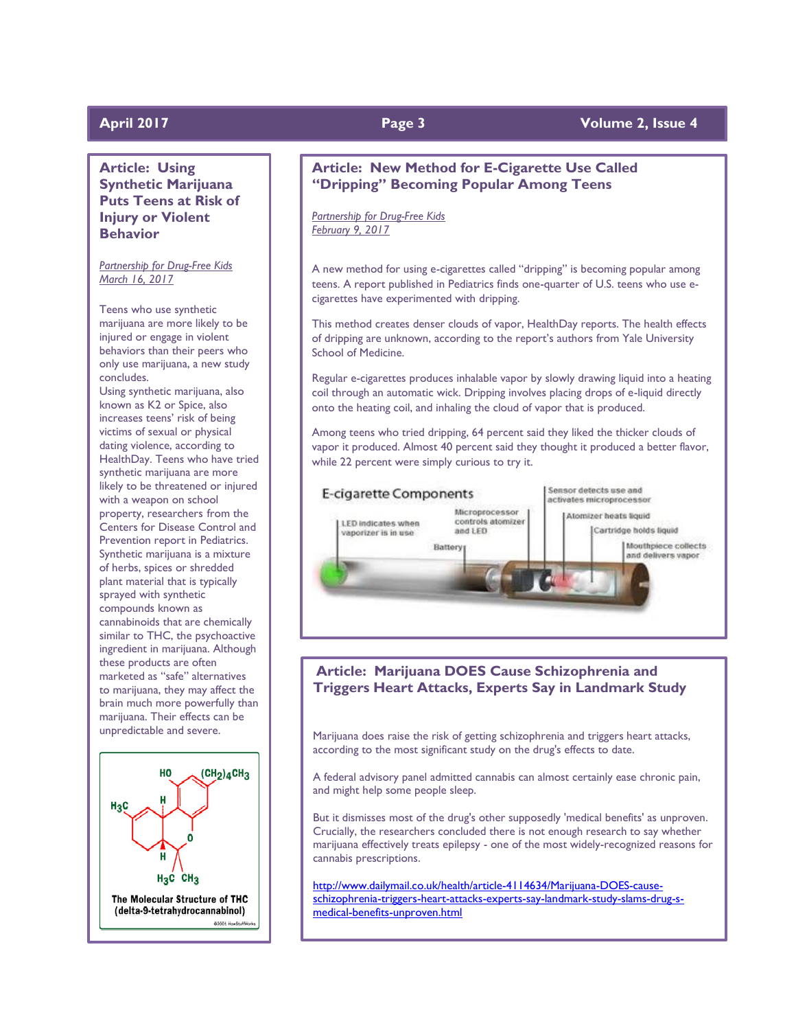**Article: Using Synthetic Marijuana Puts Teens at Risk of Injury or Violent Behavior**

*Partnership for Drug-Free Kids March 16, 2017*

Teens who use synthetic marijuana are more likely to be injured or engage in violent behaviors than their peers who only use marijuana, a new study concludes.

Using synthetic marijuana, also known as K2 or Spice, also increases teens' risk of being victims of sexual or physical dating violence, according to HealthDay. Teens who have tried synthetic marijuana are more likely to be threatened or injured with a weapon on school property, researchers from the Centers for Disease Control and Prevention report in Pediatrics. Synthetic marijuana is a mixture of herbs, spices or shredded plant material that is typically sprayed with synthetic compounds known as cannabinoids that are chemically similar to THC, the psychoactive ingredient in marijuana. Although these products are often marketed as "safe" alternatives to marijuana, they may affect the brain much more powerfully than marijuana. Their effects can be unpredictable and severe.



### **April 2017 Page 3 Volume 2, Issue 4**

# **Article: New Method for E-Cigarette Use Called "Dripping" Becoming Popular Among Teens**

*Partnership for Drug-Free Kids February 9, 2017*

A new method for using e-cigarettes called "dripping" is becoming popular among teens. A report published in Pediatrics finds one-quarter of U.S. teens who use ecigarettes have experimented with dripping.

This method creates denser clouds of vapor, HealthDay reports. The health effects of dripping are unknown, according to the report's authors from Yale University School of Medicine.

Regular e-cigarettes produces inhalable vapor by slowly drawing liquid into a heating coil through an automatic wick. Dripping involves placing drops of e-liquid directly onto the heating coil, and inhaling the cloud of vapor that is produced.

Among teens who tried dripping, 64 percent said they liked the thicker clouds of vapor it produced. Almost 40 percent said they thought it produced a better flavor, while 22 percent were simply curious to try it.



# **Article: Marijuana DOES Cause Schizophrenia and Triggers Heart Attacks, Experts Say in Landmark Study**

Marijuana does raise the risk of getting schizophrenia and triggers heart attacks, according to the most significant study on the drug's effects to date.

A federal advisory panel admitted cannabis can almost certainly ease chronic pain, and might help some people sleep.

But it dismisses most of the drug's other supposedly 'medical benefits' as unproven. Crucially, the researchers concluded there is not enough research to say whether marijuana effectively treats epilepsy - one of the most widely-recognized reasons for cannabis prescriptions.

[http://www.dailymail.co.uk/health/article-4114634/Marijuana-DOES-cause](http://www.dailymail.co.uk/health/article-4114634/Marijuana-DOES-cause-schizophrenia-triggers-heart-attacks-experts-say-landmark-study-slams-drug-s-medical-benefits-unproven.html)[schizophrenia-triggers-heart-attacks-experts-say-landmark-study-slams-drug-s](http://www.dailymail.co.uk/health/article-4114634/Marijuana-DOES-cause-schizophrenia-triggers-heart-attacks-experts-say-landmark-study-slams-drug-s-medical-benefits-unproven.html)[medical-benefits-unproven.html](http://www.dailymail.co.uk/health/article-4114634/Marijuana-DOES-cause-schizophrenia-triggers-heart-attacks-experts-say-landmark-study-slams-drug-s-medical-benefits-unproven.html)